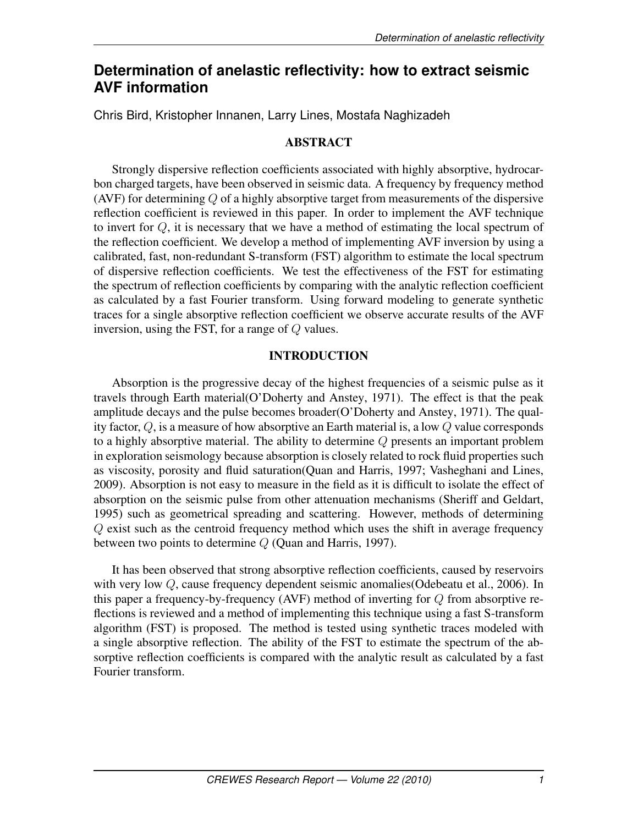# **Determination of anelastic reflectivity: how to extract seismic AVF information**

Chris Bird, Kristopher Innanen, Larry Lines, Mostafa Naghizadeh

# ABSTRACT

Strongly dispersive reflection coefficients associated with highly absorptive, hydrocarbon charged targets, have been observed in seismic data. A frequency by frequency method (AVF) for determining  $Q$  of a highly absorptive target from measurements of the dispersive reflection coefficient is reviewed in this paper. In order to implement the AVF technique to invert for Q, it is necessary that we have a method of estimating the local spectrum of the reflection coefficient. We develop a method of implementing AVF inversion by using a calibrated, fast, non-redundant S-transform (FST) algorithm to estimate the local spectrum of dispersive reflection coefficients. We test the effectiveness of the FST for estimating the spectrum of reflection coefficients by comparing with the analytic reflection coefficient as calculated by a fast Fourier transform. Using forward modeling to generate synthetic traces for a single absorptive reflection coefficient we observe accurate results of the AVF inversion, using the FST, for a range of  $Q$  values.

# INTRODUCTION

Absorption is the progressive decay of the highest frequencies of a seismic pulse as it travels through Earth material(O'Doherty and Anstey, 1971). The effect is that the peak amplitude decays and the pulse becomes broader(O'Doherty and Anstey, 1971). The quality factor, Q, is a measure of how absorptive an Earth material is, a low Q value corresponds to a highly absorptive material. The ability to determine Q presents an important problem in exploration seismology because absorption is closely related to rock fluid properties such as viscosity, porosity and fluid saturation(Quan and Harris, 1997; Vasheghani and Lines, 2009). Absorption is not easy to measure in the field as it is difficult to isolate the effect of absorption on the seismic pulse from other attenuation mechanisms (Sheriff and Geldart, 1995) such as geometrical spreading and scattering. However, methods of determining Q exist such as the centroid frequency method which uses the shift in average frequency between two points to determine  $Q$  (Quan and Harris, 1997).

It has been observed that strong absorptive reflection coefficients, caused by reservoirs with very low Q, cause frequency dependent seismic anomalies (Odebeatu et al., 2006). In this paper a frequency-by-frequency (AVF) method of inverting for  $Q$  from absorptive reflections is reviewed and a method of implementing this technique using a fast S-transform algorithm (FST) is proposed. The method is tested using synthetic traces modeled with a single absorptive reflection. The ability of the FST to estimate the spectrum of the absorptive reflection coefficients is compared with the analytic result as calculated by a fast Fourier transform.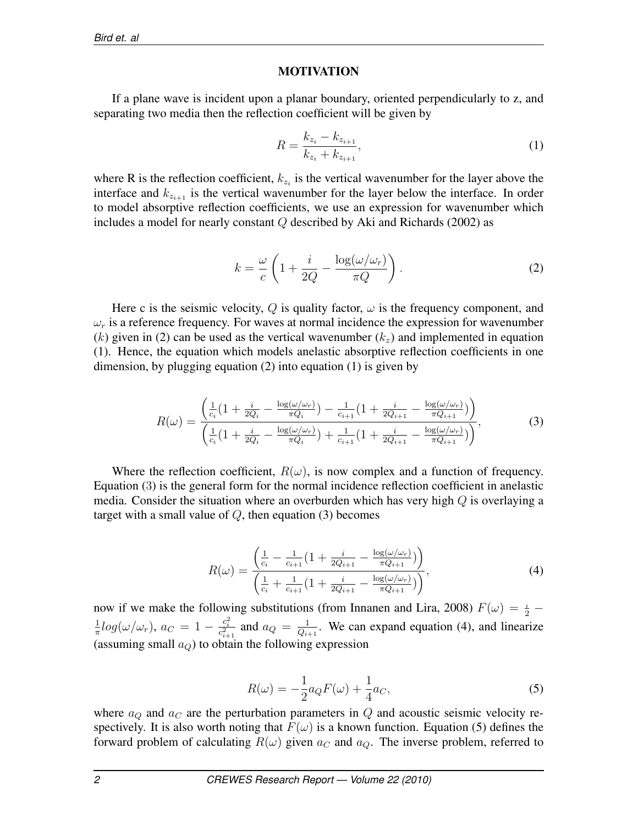### MOTIVATION

If a plane wave is incident upon a planar boundary, oriented perpendicularly to z, and separating two media then the reflection coefficient will be given by

$$
R = \frac{k_{z_i} - k_{z_{i+1}}}{k_{z_i} + k_{z_{i+1}}},\tag{1}
$$

where R is the reflection coefficient,  $k_{z_i}$  is the vertical wavenumber for the layer above the interface and  $k_{z_{i+1}}$  is the vertical wavenumber for the layer below the interface. In order to model absorptive reflection coefficients, we use an expression for wavenumber which includes a model for nearly constant  $Q$  described by Aki and Richards (2002) as

$$
k = \frac{\omega}{c} \left( 1 + \frac{i}{2Q} - \frac{\log(\omega/\omega_r)}{\pi Q} \right).
$$
 (2)

Here c is the seismic velocity,  $Q$  is quality factor,  $\omega$  is the frequency component, and  $\omega_r$  is a reference frequency. For waves at normal incidence the expression for wavenumber (k) given in (2) can be used as the vertical wavenumber  $(k_z)$  and implemented in equation (1). Hence, the equation which models anelastic absorptive reflection coefficients in one dimension, by plugging equation (2) into equation (1) is given by

$$
R(\omega) = \frac{\left(\frac{1}{c_i}\left(1 + \frac{i}{2Q_i} - \frac{\log(\omega/\omega_r)}{\pi Q_i}\right) - \frac{1}{c_{i+1}}\left(1 + \frac{i}{2Q_{i+1}} - \frac{\log(\omega/\omega_r)}{\pi Q_{i+1}}\right)\right)}{\left(\frac{1}{c_i}\left(1 + \frac{i}{2Q_i} - \frac{\log(\omega/\omega_r)}{\pi Q_i}\right) + \frac{1}{c_{i+1}}\left(1 + \frac{i}{2Q_{i+1}} - \frac{\log(\omega/\omega_r)}{\pi Q_{i+1}}\right)\right)},\tag{3}
$$

Where the reflection coefficient,  $R(\omega)$ , is now complex and a function of frequency. Equation (3) is the general form for the normal incidence reflection coefficient in anelastic media. Consider the situation where an overburden which has very high  $Q$  is overlaying a target with a small value of  $Q$ , then equation (3) becomes

$$
R(\omega) = \frac{\left(\frac{1}{c_i} - \frac{1}{c_{i+1}}(1 + \frac{i}{2Q_{i+1}} - \frac{\log(\omega/\omega_r)}{\pi Q_{i+1}})\right)}{\left(\frac{1}{c_i} + \frac{1}{c_{i+1}}(1 + \frac{i}{2Q_{i+1}} - \frac{\log(\omega/\omega_r)}{\pi Q_{i+1}})\right)},\tag{4}
$$

now if we make the following substitutions (from Innanen and Lira, 2008)  $F(\omega) = \frac{i}{2} -$ 1  $\frac{1}{\pi} log(\omega/\omega_r)$ ,  $a_C = 1 - \frac{c_i^2}{c_{i+1}^2}$  and  $a_Q = \frac{1}{Q_{i+1}}$  $\frac{1}{Q_{i+1}}$ . We can expand equation (4), and linearize (assuming small  $a_Q$ ) to obtain the following expression

$$
R(\omega) = -\frac{1}{2}a_Q F(\omega) + \frac{1}{4}a_C,
$$
\n<sup>(5)</sup>

where  $a_Q$  and  $a_C$  are the perturbation parameters in Q and acoustic seismic velocity respectively. It is also worth noting that  $F(\omega)$  is a known function. Equation (5) defines the forward problem of calculating  $R(\omega)$  given  $a_C$  and  $a_Q$ . The inverse problem, referred to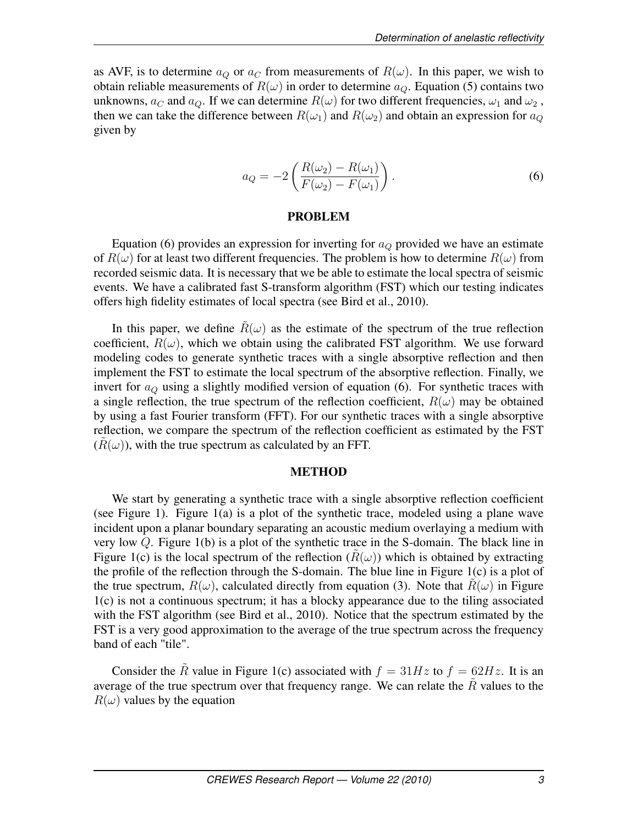as AVF, is to determine  $a_Q$  or  $a_C$  from measurements of  $R(\omega)$ . In this paper, we wish to obtain reliable measurements of  $R(\omega)$  in order to determine  $a_Q$ . Equation (5) contains two unknowns,  $a_C$  and  $a_Q$ . If we can determine  $R(\omega)$  for two different frequencies,  $\omega_1$  and  $\omega_2$ , then we can take the difference between  $R(\omega_1)$  and  $R(\omega_2)$  and obtain an expression for  $a_Q$ given by

$$
a_Q = -2\left(\frac{R(\omega_2) - R(\omega_1)}{F(\omega_2) - F(\omega_1)}\right).
$$
\n(6)

#### PROBLEM

Equation (6) provides an expression for inverting for  $a_Q$  provided we have an estimate of  $R(\omega)$  for at least two different frequencies. The problem is how to determine  $R(\omega)$  from recorded seismic data. It is necessary that we be able to estimate the local spectra of seismic events. We have a calibrated fast S-transform algorithm (FST) which our testing indicates offers high fidelity estimates of local spectra (see Bird et al., 2010).

In this paper, we define  $\tilde{R}(\omega)$  as the estimate of the spectrum of the true reflection coefficient,  $R(\omega)$ , which we obtain using the calibrated FST algorithm. We use forward modeling codes to generate synthetic traces with a single absorptive reflection and then implement the FST to estimate the local spectrum of the absorptive reflection. Finally, we invert for  $a_Q$  using a slightly modified version of equation (6). For synthetic traces with a single reflection, the true spectrum of the reflection coefficient,  $R(\omega)$  may be obtained by using a fast Fourier transform (FFT). For our synthetic traces with a single absorptive reflection, we compare the spectrum of the reflection coefficient as estimated by the FST  $(R(\omega))$ , with the true spectrum as calculated by an FFT.

#### METHOD

We start by generating a synthetic trace with a single absorptive reflection coefficient (see Figure 1). Figure 1(a) is a plot of the synthetic trace, modeled using a plane wave incident upon a planar boundary separating an acoustic medium overlaying a medium with very low Q. Figure 1(b) is a plot of the synthetic trace in the S-domain. The black line in Figure 1(c) is the local spectrum of the reflection  $(R(\omega))$  which is obtained by extracting the profile of the reflection through the S-domain. The blue line in Figure 1(c) is a plot of the true spectrum,  $R(\omega)$ , calculated directly from equation (3). Note that  $\tilde{R}(\omega)$  in Figure 1(c) is not a continuous spectrum; it has a blocky appearance due to the tiling associated with the FST algorithm (see Bird et al., 2010). Notice that the spectrum estimated by the FST is a very good approximation to the average of the true spectrum across the frequency band of each "tile".

Consider the  $\tilde{R}$  value in Figure 1(c) associated with  $f = 31Hz$  to  $f = 62Hz$ . It is an average of the true spectrum over that frequency range. We can relate the  $\tilde{R}$  values to the  $R(\omega)$  values by the equation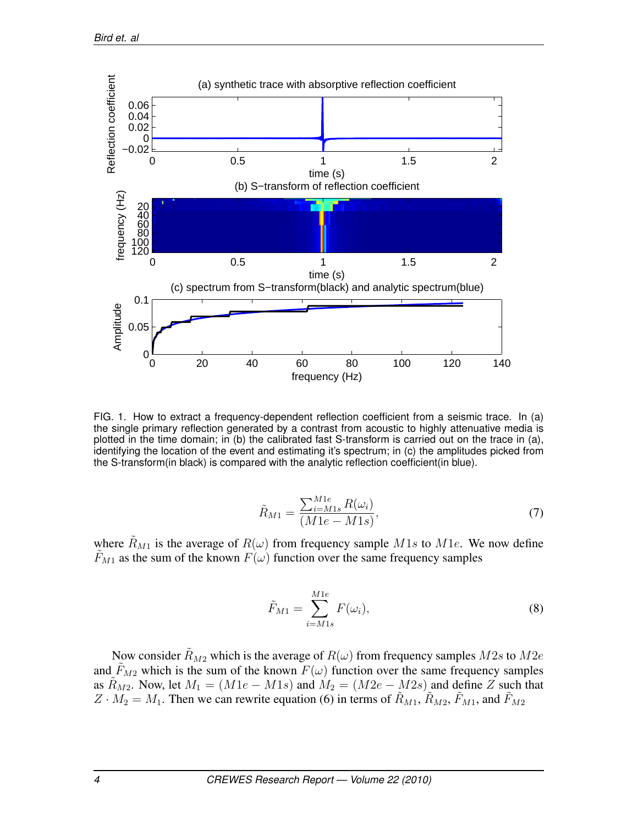

FIG. 1. How to extract a frequency-dependent reflection coefficient from a seismic trace. In (a) the single primary reflection generated by a contrast from acoustic to highly attenuative media is plotted in the time domain; in (b) the calibrated fast S-transform is carried out on the trace in (a), identifying the location of the event and estimating it's spectrum; in (c) the amplitudes picked from the S-transform(in black) is compared with the analytic reflection coefficient(in blue).

$$
\tilde{R}_{M1} = \frac{\sum_{i=M1s}^{M1e} R(\omega_i)}{(M1e - M1s)},
$$
\n(7)

where  $\tilde{R}_{M1}$  is the average of  $R(\omega)$  from frequency sample M1s to M1e. We now define  $\tilde{F}_{M1}$  as the sum of the known  $F(\omega)$  function over the same frequency samples

$$
\tilde{F}_{M1} = \sum_{i=M1s}^{M1e} F(\omega_i),\tag{8}
$$

Now consider  $\tilde{R}_{M2}$  which is the average of  $R(\omega)$  from frequency samples  $M2s$  to  $M2e$ and  $\tilde{F}_{M2}$  which is the sum of the known  $F(\omega)$  function over the same frequency samples as  $R_{M2}$ . Now, let  $M_1 = (M1e - M1s)$  and  $M_2 = (M2e - M2s)$  and define Z such that  $Z \cdot M_2 = M_1$ . Then we can rewrite equation (6) in terms of  $\tilde{R}_{M1}, \tilde{R}_{M2}, \tilde{F}_{M1}$ , and  $\tilde{F}_{M2}$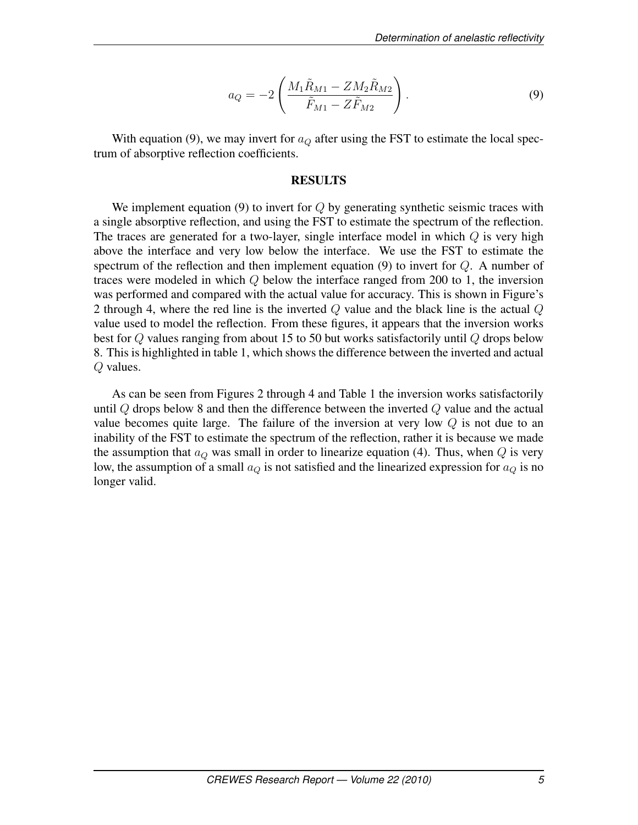$$
a_Q = -2\left(\frac{M_1\tilde{R}_{M1} - ZM_2\tilde{R}_{M2}}{\tilde{F}_{M1} - Z\tilde{F}_{M2}}\right).
$$
\n(9)

With equation (9), we may invert for  $a_Q$  after using the FST to estimate the local spectrum of absorptive reflection coefficients.

### RESULTS

We implement equation  $(9)$  to invert for  $Q$  by generating synthetic seismic traces with a single absorptive reflection, and using the FST to estimate the spectrum of the reflection. The traces are generated for a two-layer, single interface model in which  $Q$  is very high above the interface and very low below the interface. We use the FST to estimate the spectrum of the reflection and then implement equation  $(9)$  to invert for  $Q$ . A number of traces were modeled in which  $Q$  below the interface ranged from 200 to 1, the inversion was performed and compared with the actual value for accuracy. This is shown in Figure's 2 through 4, where the red line is the inverted  $Q$  value and the black line is the actual  $Q$ value used to model the reflection. From these figures, it appears that the inversion works best for Q values ranging from about 15 to 50 but works satisfactorily until Q drops below 8. This is highlighted in table 1, which shows the difference between the inverted and actual Q values.

As can be seen from Figures 2 through 4 and Table 1 the inversion works satisfactorily until Q drops below 8 and then the difference between the inverted Q value and the actual value becomes quite large. The failure of the inversion at very low  $Q$  is not due to an inability of the FST to estimate the spectrum of the reflection, rather it is because we made the assumption that  $a<sub>O</sub>$  was small in order to linearize equation (4). Thus, when  $Q$  is very low, the assumption of a small  $a_Q$  is not satisfied and the linearized expression for  $a_Q$  is no longer valid.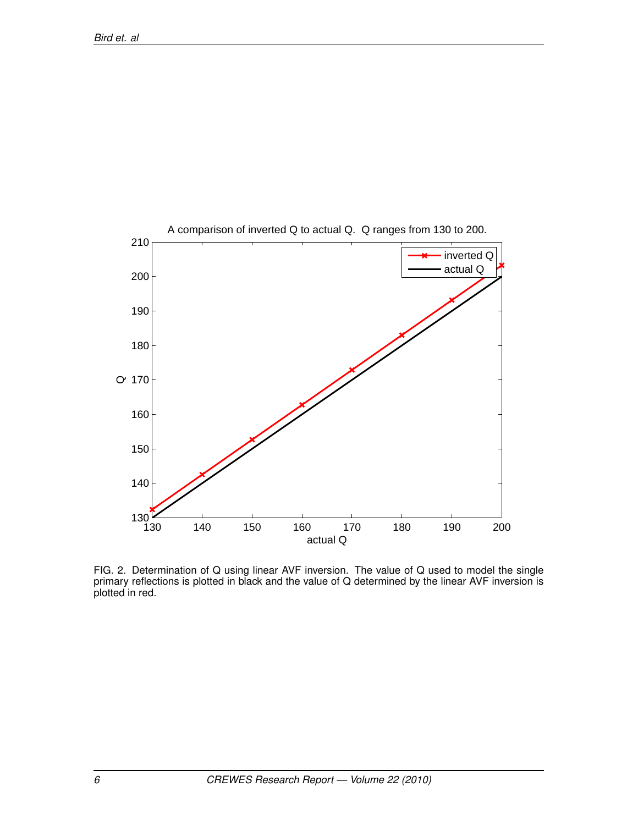

FIG. 2. Determination of Q using linear AVF inversion. The value of Q used to model the single primary reflections is plotted in black and the value of Q determined by the linear AVF inversion is plotted in red.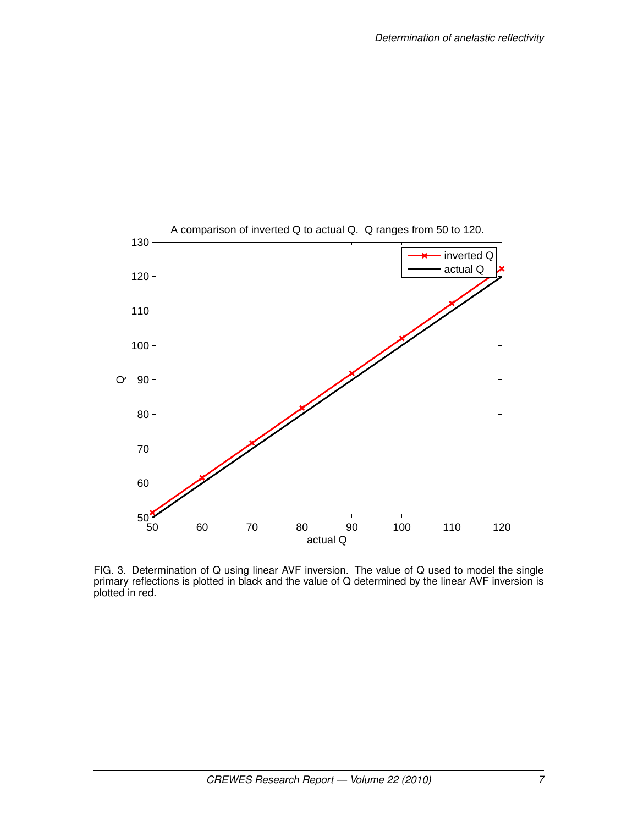

FIG. 3. Determination of Q using linear AVF inversion. The value of Q used to model the single primary reflections is plotted in black and the value of Q determined by the linear AVF inversion is plotted in red.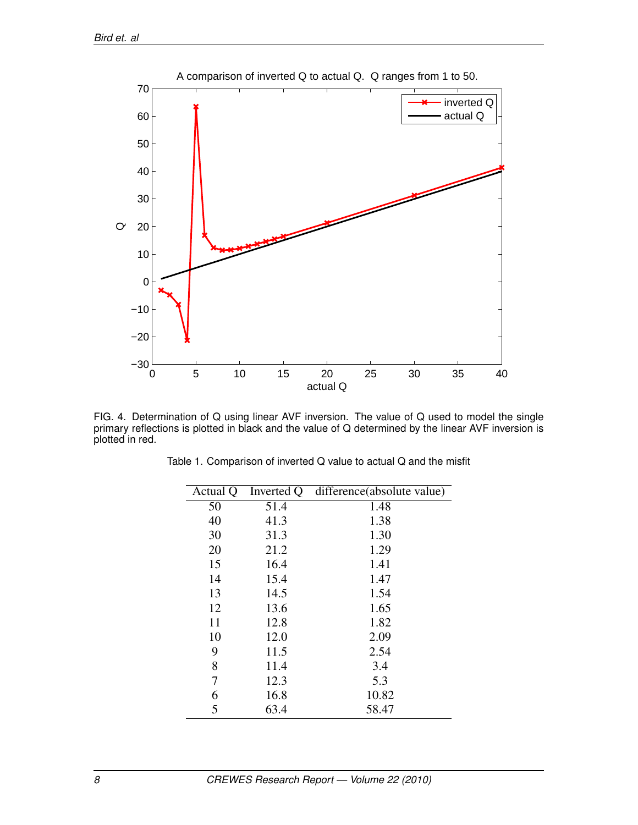

FIG. 4. Determination of Q using linear AVF inversion. The value of Q used to model the single primary reflections is plotted in black and the value of Q determined by the linear AVF inversion is plotted in red.

| Actual Q | Inverted Q | difference(absolute value) |
|----------|------------|----------------------------|
| 50       | 51.4       | 1.48                       |
| 40       | 41.3       | 1.38                       |
| 30       | 31.3       | 1.30                       |
| 20       | 21.2       | 1.29                       |
| 15       | 16.4       | 1.41                       |
| 14       | 15.4       | 1.47                       |
| 13       | 14.5       | 1.54                       |
| 12       | 13.6       | 1.65                       |
| 11       | 12.8       | 1.82                       |
| 10       | 12.0       | 2.09                       |
| 9        | 11.5       | 2.54                       |
| 8        | 11.4       | 3.4                        |
| 7        | 12.3       | 5.3                        |
| 6        | 16.8       | 10.82                      |
| 5        | 63.4       | 58.47                      |

Table 1. Comparison of inverted Q value to actual Q and the misfit